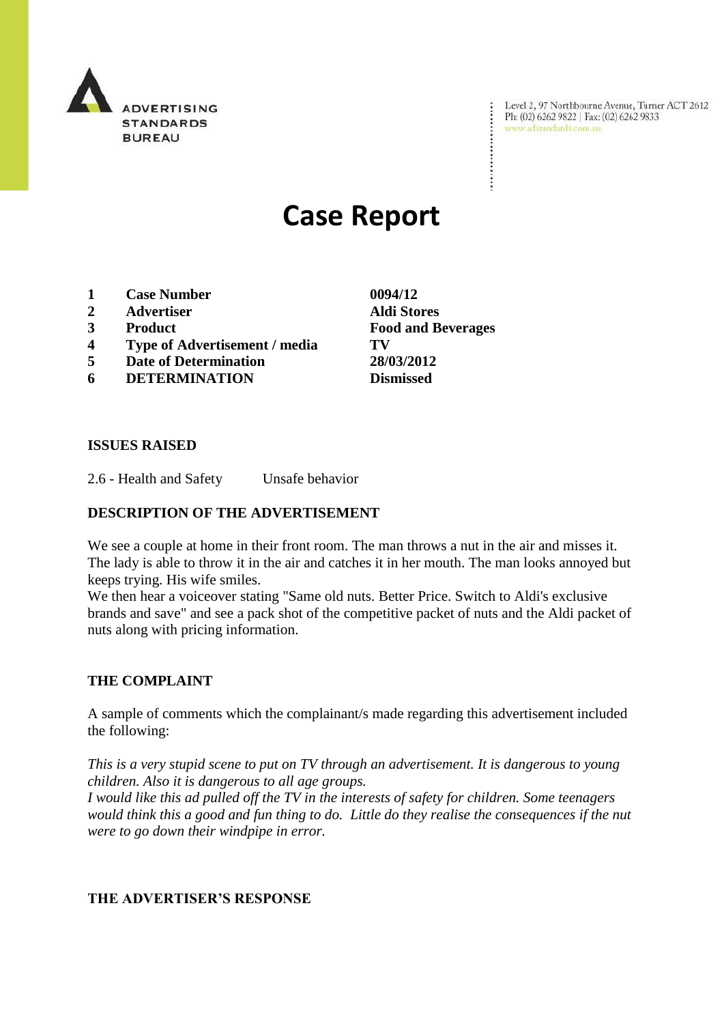

Level 2, 97 Northbourne Avenue, Turner ACT 2612<br>Ph: (02) 6262 9822 | Fax: (02) 6262 9833<br>www.adstandards.com.au

÷

# **Case Report**

- **1 Case Number 0094/12**
- **2 Advertiser Aldi Stores**
- **3 Product Food and Beverages**
- **4 Type of Advertisement / media TV**
- **5 Date of Determination 28/03/2012**
- **6 DETERMINATION Dismissed**

**ISSUES RAISED**

2.6 - Health and Safety Unsafe behavior

### **DESCRIPTION OF THE ADVERTISEMENT**

We see a couple at home in their front room. The man throws a nut in the air and misses it. The lady is able to throw it in the air and catches it in her mouth. The man looks annoyed but keeps trying. His wife smiles.

We then hear a voiceover stating "Same old nuts. Better Price. Switch to Aldi's exclusive brands and save" and see a pack shot of the competitive packet of nuts and the Aldi packet of nuts along with pricing information.

### **THE COMPLAINT**

A sample of comments which the complainant/s made regarding this advertisement included the following:

*This is a very stupid scene to put on TV through an advertisement. It is dangerous to young children. Also it is dangerous to all age groups.*

*I would like this ad pulled off the TV in the interests of safety for children. Some teenagers would think this a good and fun thing to do. Little do they realise the consequences if the nut were to go down their windpipe in error.*

### **THE ADVERTISER'S RESPONSE**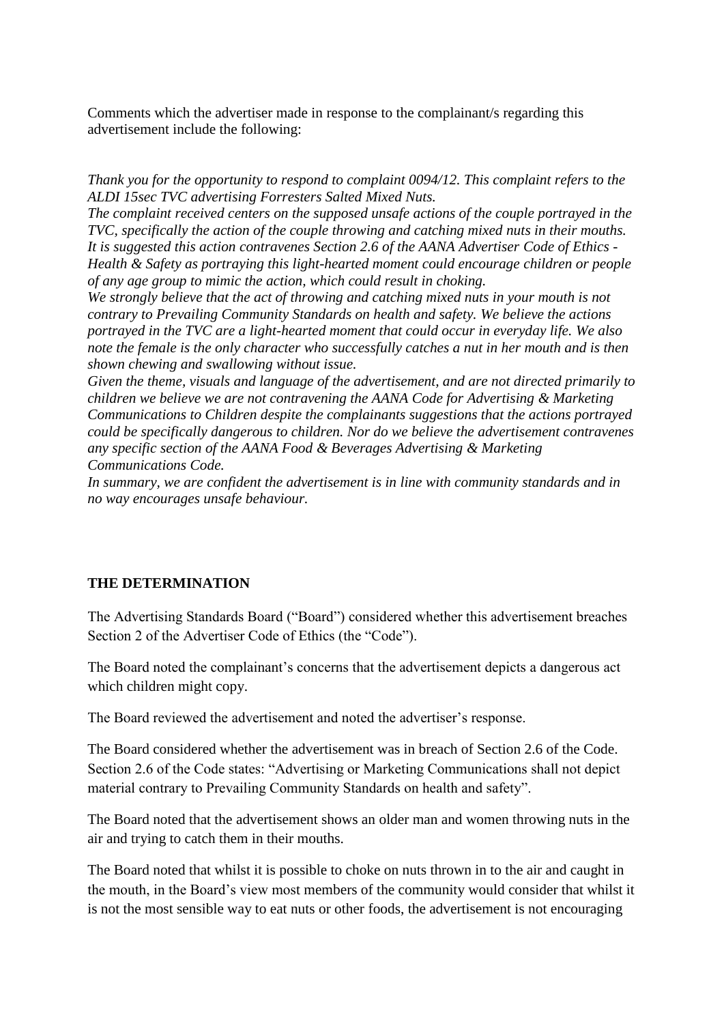Comments which the advertiser made in response to the complainant/s regarding this advertisement include the following:

*Thank you for the opportunity to respond to complaint 0094/12. This complaint refers to the ALDI 15sec TVC advertising Forresters Salted Mixed Nuts.*

*The complaint received centers on the supposed unsafe actions of the couple portrayed in the TVC, specifically the action of the couple throwing and catching mixed nuts in their mouths. It is suggested this action contravenes Section 2.6 of the AANA Advertiser Code of Ethics - Health & Safety as portraying this light-hearted moment could encourage children or people of any age group to mimic the action, which could result in choking.*

*We strongly believe that the act of throwing and catching mixed nuts in your mouth is not contrary to Prevailing Community Standards on health and safety. We believe the actions portrayed in the TVC are a light-hearted moment that could occur in everyday life. We also note the female is the only character who successfully catches a nut in her mouth and is then shown chewing and swallowing without issue.*

*Given the theme, visuals and language of the advertisement, and are not directed primarily to children we believe we are not contravening the AANA Code for Advertising & Marketing Communications to Children despite the complainants suggestions that the actions portrayed could be specifically dangerous to children. Nor do we believe the advertisement contravenes any specific section of the AANA Food & Beverages Advertising & Marketing Communications Code.*

*In summary, we are confident the advertisement is in line with community standards and in no way encourages unsafe behaviour.*

## **THE DETERMINATION**

The Advertising Standards Board ("Board") considered whether this advertisement breaches Section 2 of the Advertiser Code of Ethics (the "Code").

The Board noted the complainant's concerns that the advertisement depicts a dangerous act which children might copy.

The Board reviewed the advertisement and noted the advertiser's response.

The Board considered whether the advertisement was in breach of Section 2.6 of the Code. Section 2.6 of the Code states: "Advertising or Marketing Communications shall not depict material contrary to Prevailing Community Standards on health and safety".

The Board noted that the advertisement shows an older man and women throwing nuts in the air and trying to catch them in their mouths.

The Board noted that whilst it is possible to choke on nuts thrown in to the air and caught in the mouth, in the Board's view most members of the community would consider that whilst it is not the most sensible way to eat nuts or other foods, the advertisement is not encouraging